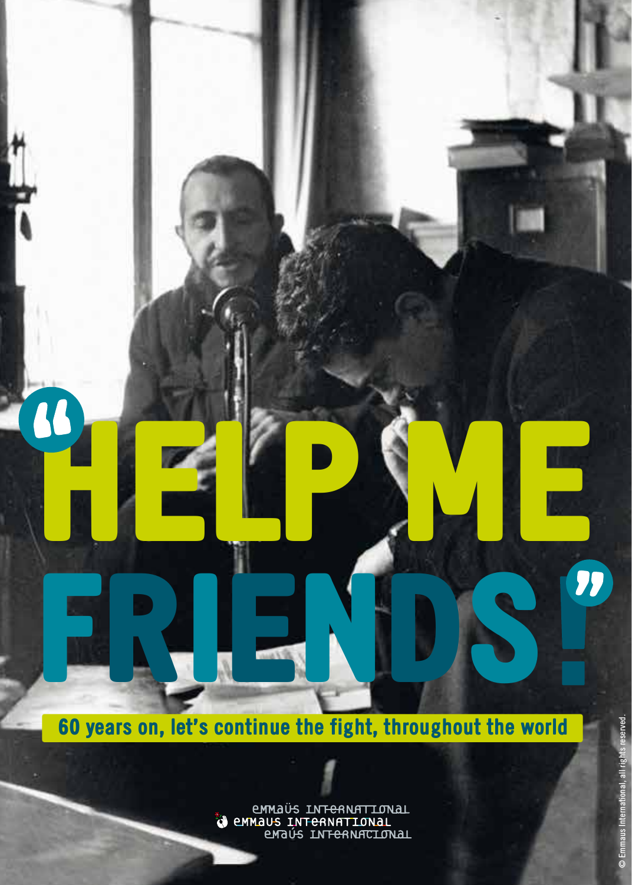60 years on, let's continue the fight, throughout the world

friends

HELP ME

LINTERNATIONAL<br>MANUS INTERNATIONAL<br>LINTERNATIONAL